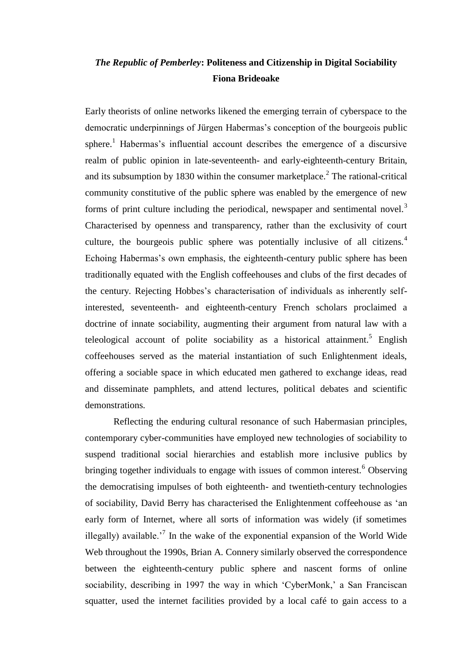# *The Republic of Pemberley***: Politeness and Citizenship in Digital Sociability Fiona Brideoake**

Early theorists of online networks likened the emerging terrain of cyberspace to the democratic underpinnings of Jürgen Habermas"s conception of the bourgeois public sphere.<sup>1</sup> Habermas's influential account describes the emergence of a discursive realm of public opinion in late-seventeenth- and early-eighteenth-century Britain, and its subsumption by 1830 within the consumer market place.<sup>2</sup> The rational-critical community constitutive of the public sphere was enabled by the emergence of new forms of print culture including the periodical, newspaper and sentimental novel.<sup>3</sup> Characterised by openness and transparency, rather than the exclusivity of court culture, the bourgeois public sphere was potentially inclusive of all citizens.<sup>4</sup> Echoing Habermas's own emphasis, the eighteenth-century public sphere has been traditionally equated with the English coffeehouses and clubs of the first decades of the century. Rejecting Hobbes"s characterisation of individuals as inherently selfinterested, seventeenth- and eighteenth-century French scholars proclaimed a doctrine of innate sociability, augmenting their argument from natural law with a teleological account of polite sociability as a historical attainment.<sup>5</sup> English coffeehouses served as the material instantiation of such Enlightenment ideals, offering a sociable space in which educated men gathered to exchange ideas, read and disseminate pamphlets, and attend lectures, political debates and scientific demonstrations.

Reflecting the enduring cultural resonance of such Habermasian principles, contemporary cyber-communities have employed new technologies of sociability to suspend traditional social hierarchies and establish more inclusive publics by bringing together individuals to engage with issues of common interest.<sup>6</sup> Observing the democratising impulses of both eighteenth- and twentieth-century technologies of sociability, David Berry has characterised the Enlightenment coffeehouse as "an early form of Internet, where all sorts of information was widely (if sometimes illegally) available.<sup>7</sup> In the wake of the exponential expansion of the World Wide Web throughout the 1990s, Brian A. Connery similarly observed the correspondence between the eighteenth-century public sphere and nascent forms of online sociability, describing in 1997 the way in which 'CyberMonk,' a San Franciscan squatter, used the internet facilities provided by a local café to gain access to a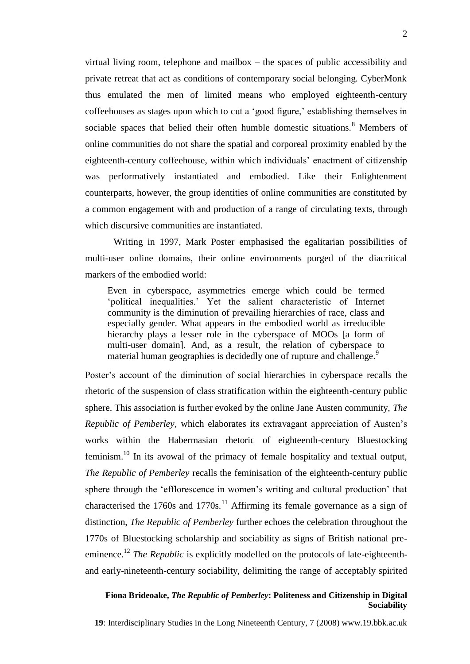virtual living room, telephone and mailbox – the spaces of public accessibility and private retreat that act as conditions of contemporary social belonging. CyberMonk thus emulated the men of limited means who employed eighteenth-century coffeehouses as stages upon which to cut a 'good figure,' establishing themselves in sociable spaces that belied their often humble domestic situations.<sup>8</sup> Members of online communities do not share the spatial and corporeal proximity enabled by the eighteenth-century coffeehouse, within which individuals" enactment of citizenship was performatively instantiated and embodied. Like their Enlightenment counterparts, however, the group identities of online communities are constituted by a common engagement with and production of a range of circulating texts, through which discursive communities are instantiated.

Writing in 1997, Mark Poster emphasised the egalitarian possibilities of multi-user online domains, their online environments purged of the diacritical markers of the embodied world:

Even in cyberspace, asymmetries emerge which could be termed "political inequalities." Yet the salient characteristic of Internet community is the diminution of prevailing hierarchies of race, class and especially gender. What appears in the embodied world as irreducible hierarchy plays a lesser role in the cyberspace of MOOs [a form of multi-user domain]. And, as a result, the relation of cyberspace to material human geographies is decidedly one of rupture and challenge.<sup>9</sup>

Poster"s account of the diminution of social hierarchies in cyberspace recalls the rhetoric of the suspension of class stratification within the eighteenth-century public sphere. This association is further evoked by the online Jane Austen community, *The Republic of Pemberley*, which elaborates its extravagant appreciation of Austen"s works within the Habermasian rhetoric of eighteenth-century Bluestocking feminism.<sup>10</sup> In its avowal of the primacy of female hospitality and textual output, *The Republic of Pemberley* recalls the feminisation of the eighteenth-century public sphere through the 'efflorescence in women's writing and cultural production' that characterised the 1760s and 1770s.<sup>11</sup> Affirming its female governance as a sign of distinction, *The Republic of Pemberley* further echoes the celebration throughout the 1770s of Bluestocking scholarship and sociability as signs of British national preeminence.<sup>12</sup> *The Republic* is explicitly modelled on the protocols of late-eighteenthand early-nineteenth-century sociability, delimiting the range of acceptably spirited

#### **Fiona Brideoake,** *The Republic of Pemberley***: Politeness and Citizenship in Digital Sociability**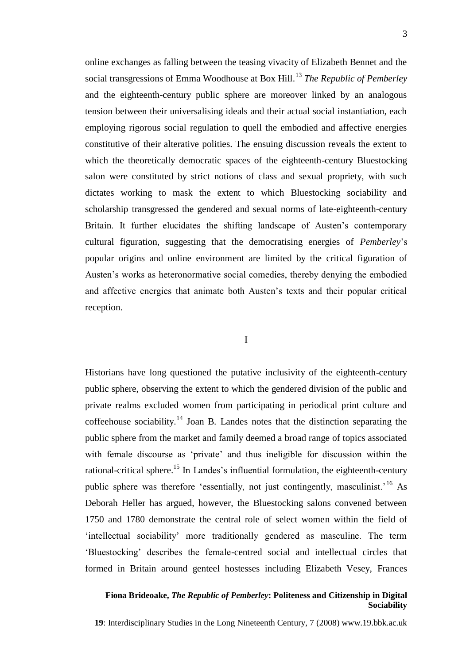online exchanges as falling between the teasing vivacity of Elizabeth Bennet and the social transgressions of Emma Woodhouse at Box Hill.<sup>13</sup> *The Republic of Pemberley* and the eighteenth-century public sphere are moreover linked by an analogous tension between their universalising ideals and their actual social instantiation, each employing rigorous social regulation to quell the embodied and affective energies constitutive of their alterative polities. The ensuing discussion reveals the extent to which the theoretically democratic spaces of the eighteenth-century Bluestocking salon were constituted by strict notions of class and sexual propriety, with such dictates working to mask the extent to which Bluestocking sociability and scholarship transgressed the gendered and sexual norms of late-eighteenth-century Britain. It further elucidates the shifting landscape of Austen's contemporary cultural figuration, suggesting that the democratising energies of *Pemberley*"s popular origins and online environment are limited by the critical figuration of Austen"s works as heteronormative social comedies, thereby denying the embodied and affective energies that animate both Austen"s texts and their popular critical reception.

I

Historians have long questioned the putative inclusivity of the eighteenth-century public sphere, observing the extent to which the gendered division of the public and private realms excluded women from participating in periodical print culture and coffeehouse sociability.<sup>14</sup> Joan B. Landes notes that the distinction separating the public sphere from the market and family deemed a broad range of topics associated with female discourse as 'private' and thus ineligible for discussion within the rational-critical sphere.<sup>15</sup> In Landes's influential formulation, the eighteenth-century public sphere was therefore 'essentially, not just contingently, masculinist.<sup>16</sup> As Deborah Heller has argued, however, the Bluestocking salons convened between 1750 and 1780 demonstrate the central role of select women within the field of "intellectual sociability" more traditionally gendered as masculine. The term "Bluestocking" describes the female-centred social and intellectual circles that formed in Britain around genteel hostesses including Elizabeth Vesey, Frances

#### **Fiona Brideoake,** *The Republic of Pemberley***: Politeness and Citizenship in Digital Sociability**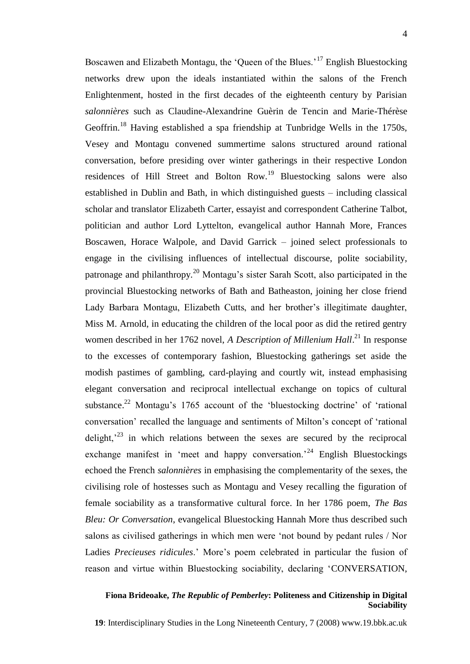Boscawen and Elizabeth Montagu, the 'Queen of the Blues.'<sup>17</sup> English Bluestocking networks drew upon the ideals instantiated within the salons of the French Enlightenment, hosted in the first decades of the eighteenth century by Parisian *salonnières* such as Claudine-Alexandrine Guèrin de Tencin and Marie-Thérèse Geoffrin.<sup>18</sup> Having established a spa friendship at Tunbridge Wells in the 1750s, Vesey and Montagu convened summertime salons structured around rational conversation, before presiding over winter gatherings in their respective London residences of Hill Street and Bolton Row.<sup>19</sup> Bluestocking salons were also established in Dublin and Bath, in which distinguished guests – including classical scholar and translator Elizabeth Carter, essayist and correspondent Catherine Talbot, politician and author Lord Lyttelton, evangelical author Hannah More, Frances Boscawen, Horace Walpole, and David Garrick – joined select professionals to engage in the civilising influences of intellectual discourse, polite sociability, patronage and philanthropy.<sup>20</sup> Montagu's sister Sarah Scott, also participated in the provincial Bluestocking networks of Bath and Batheaston, joining her close friend Lady Barbara Montagu, Elizabeth Cutts, and her brother's illegitimate daughter, Miss M. Arnold, in educating the children of the local poor as did the retired gentry women described in her 1762 novel, *A Description of Millenium Hall*.<sup>21</sup> In response to the excesses of contemporary fashion, Bluestocking gatherings set aside the modish pastimes of gambling, card-playing and courtly wit, instead emphasising elegant conversation and reciprocal intellectual exchange on topics of cultural substance.<sup>22</sup> Montagu's 1765 account of the 'bluestocking doctrine' of 'rational conversation" recalled the language and sentiments of Milton"s concept of "rational delight,<sup> $23$ </sup> in which relations between the sexes are secured by the reciprocal exchange manifest in 'meet and happy conversation.<sup>24</sup> English Bluestockings echoed the French *salonnières* in emphasising the complementarity of the sexes, the civilising role of hostesses such as Montagu and Vesey recalling the figuration of female sociability as a transformative cultural force. In her 1786 poem, *The Bas Bleu: Or Conversation*, evangelical Bluestocking Hannah More thus described such salons as civilised gatherings in which men were "not bound by pedant rules / Nor Ladies *Precieuses ridicules*.' More's poem celebrated in particular the fusion of reason and virtue within Bluestocking sociability, declaring "CONVERSATION,

# **Fiona Brideoake,** *The Republic of Pemberley***: Politeness and Citizenship in Digital Sociability**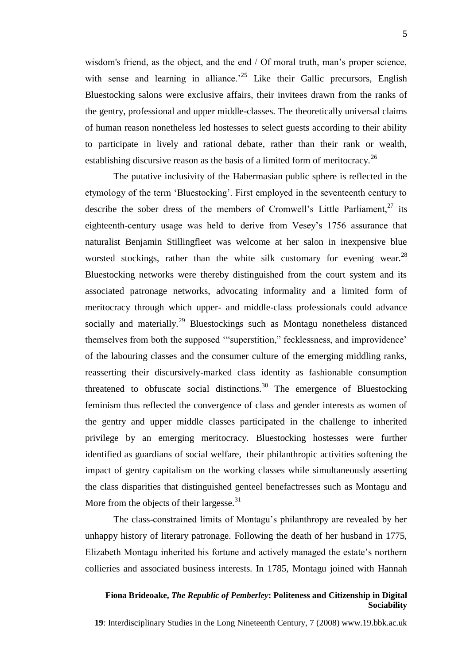wisdom's friend, as the object, and the end / Of moral truth, man's proper science, with sense and learning in alliance.<sup> $25$ </sup> Like their Gallic precursors, English Bluestocking salons were exclusive affairs, their invitees drawn from the ranks of the gentry, professional and upper middle-classes. The theoretically universal claims of human reason nonetheless led hostesses to select guests according to their ability to participate in lively and rational debate, rather than their rank or wealth, establishing discursive reason as the basis of a limited form of meritocracy.<sup>26</sup>

The putative inclusivity of the Habermasian public sphere is reflected in the etymology of the term "Bluestocking". First employed in the seventeenth century to describe the sober dress of the members of Cromwell's Little Parliament,<sup>27</sup> its eighteenth-century usage was held to derive from Vesey"s 1756 assurance that naturalist Benjamin Stillingfleet was welcome at her salon in inexpensive blue worsted stockings, rather than the white silk customary for evening wear.  $^{28}$ Bluestocking networks were thereby distinguished from the court system and its associated patronage networks, advocating informality and a limited form of meritocracy through which upper- and middle-class professionals could advance socially and materially.<sup>29</sup> Bluestockings such as Montagu nonetheless distanced themselves from both the supposed ""superstition," fecklessness, and improvidence" of the labouring classes and the consumer culture of the emerging middling ranks, reasserting their discursively-marked class identity as fashionable consumption threatened to obfuscate social distinctions.<sup>30</sup> The emergence of Bluestocking feminism thus reflected the convergence of class and gender interests as women of the gentry and upper middle classes participated in the challenge to inherited privilege by an emerging meritocracy. Bluestocking hostesses were further identified as guardians of social welfare, their philanthropic activities softening the impact of gentry capitalism on the working classes while simultaneously asserting the class disparities that distinguished genteel benefactresses such as Montagu and More from the objects of their largesse. $31$ 

The class-constrained limits of Montagu"s philanthropy are revealed by her unhappy history of literary patronage. Following the death of her husband in 1775, Elizabeth Montagu inherited his fortune and actively managed the estate"s northern collieries and associated business interests. In 1785, Montagu joined with Hannah

#### **Fiona Brideoake,** *The Republic of Pemberley***: Politeness and Citizenship in Digital Sociability**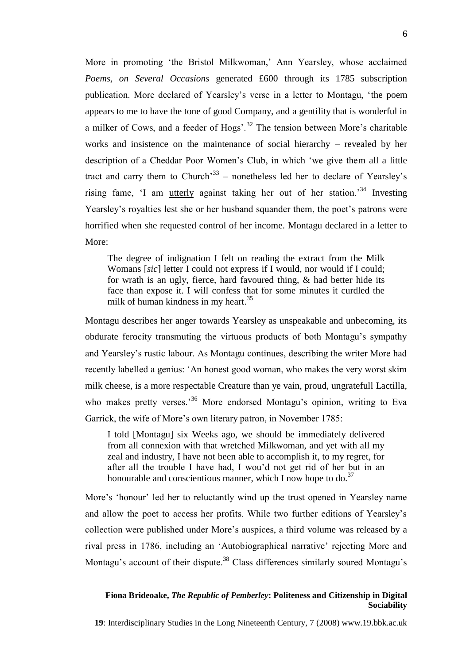More in promoting "the Bristol Milkwoman," Ann Yearsley, whose acclaimed *Poems, on Several Occasions* generated £600 through its 1785 subscription publication. More declared of Yearsley"s verse in a letter to Montagu, "the poem appears to me to have the tone of good Company, and a gentility that is wonderful in a milker of Cows, and a feeder of Hogs'.<sup>32</sup> The tension between More's charitable works and insistence on the maintenance of social hierarchy – revealed by her description of a Cheddar Poor Women"s Club, in which "we give them all a little tract and carry them to Church<sup>33</sup> – nonetheless led her to declare of Yearsley's rising fame, 'I am utterly against taking her out of her station.<sup>34</sup> Investing Yearsley's royalties lest she or her husband squander them, the poet's patrons were horrified when she requested control of her income. Montagu declared in a letter to More:

The degree of indignation I felt on reading the extract from the Milk Womans [*sic*] letter I could not express if I would, nor would if I could; for wrath is an ugly, fierce, hard favoured thing, & had better hide its face than expose it. I will confess that for some minutes it curdled the milk of human kindness in my heart.<sup>35</sup>

Montagu describes her anger towards Yearsley as unspeakable and unbecoming, its obdurate ferocity transmuting the virtuous products of both Montagu"s sympathy and Yearsley"s rustic labour. As Montagu continues, describing the writer More had recently labelled a genius: "An honest good woman, who makes the very worst skim milk cheese, is a more respectable Creature than ye vain, proud, ungratefull Lactilla, who makes pretty verses.<sup>36</sup> More endorsed Montagu's opinion, writing to Eva Garrick, the wife of More's own literary patron, in November 1785:

I told [Montagu] six Weeks ago, we should be immediately delivered from all connexion with that wretched Milkwoman, and yet with all my zeal and industry, I have not been able to accomplish it, to my regret, for after all the trouble I have had, I wou"d not get rid of her but in an honourable and conscientious manner, which I now hope to do. $37$ 

More's 'honour' led her to reluctantly wind up the trust opened in Yearsley name and allow the poet to access her profits. While two further editions of Yearsley"s collection were published under More"s auspices, a third volume was released by a rival press in 1786, including an "Autobiographical narrative" rejecting More and Montagu's account of their dispute.<sup>38</sup> Class differences similarly soured Montagu's

#### **Fiona Brideoake,** *The Republic of Pemberley***: Politeness and Citizenship in Digital Sociability**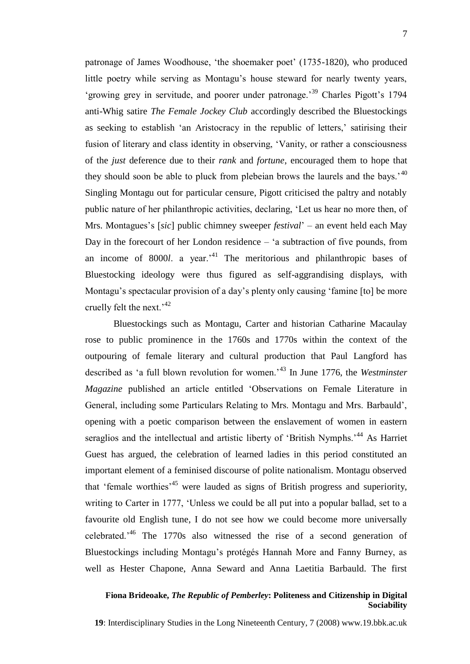patronage of James Woodhouse, 'the shoemaker poet' (1735-1820), who produced little poetry while serving as Montagu"s house steward for nearly twenty years, 'growing grey in servitude, and poorer under patronage.<sup>39</sup> Charles Pigott's 1794 anti-Whig satire *The Female Jockey Club* accordingly described the Bluestockings as seeking to establish 'an Aristocracy in the republic of letters,' satirising their fusion of literary and class identity in observing, "Vanity, or rather a consciousness of the *just* deference due to their *rank* and *fortune*, encouraged them to hope that they should soon be able to pluck from plebeian brows the laurels and the bays.<sup> $40$ </sup> Singling Montagu out for particular censure, Pigott criticised the paltry and notably public nature of her philanthropic activities, declaring, "Let us hear no more then, of Mrs. Montagues"s [*sic*] public chimney sweeper *festival*" – an event held each May Day in the forecourt of her London residence  $-$  'a subtraction of five pounds, from an income of 8000*l*. a year.<sup>41</sup> The meritorious and philanthropic bases of Bluestocking ideology were thus figured as self-aggrandising displays, with Montagu's spectacular provision of a day's plenty only causing 'famine [to] be more cruelly felt the next.<sup> $42$ </sup>

Bluestockings such as Montagu, Carter and historian Catharine Macaulay rose to public prominence in the 1760s and 1770s within the context of the outpouring of female literary and cultural production that Paul Langford has described as "a full blown revolution for women."<sup>43</sup> In June 1776, the *Westminster Magazine* published an article entitled "Observations on Female Literature in General, including some Particulars Relating to Mrs. Montagu and Mrs. Barbauld", opening with a poetic comparison between the enslavement of women in eastern seraglios and the intellectual and artistic liberty of 'British Nymphs.'<sup>44</sup> As Harriet Guest has argued, the celebration of learned ladies in this period constituted an important element of a feminised discourse of polite nationalism. Montagu observed that 'female worthies'<sup>45</sup> were lauded as signs of British progress and superiority, writing to Carter in 1777, "Unless we could be all put into a popular ballad, set to a favourite old English tune, I do not see how we could become more universally celebrated."<sup>46</sup> The 1770s also witnessed the rise of a second generation of Bluestockings including Montagu"s protégés Hannah More and Fanny Burney, as well as Hester Chapone, Anna Seward and Anna Laetitia Barbauld. The first

#### **Fiona Brideoake,** *The Republic of Pemberley***: Politeness and Citizenship in Digital Sociability**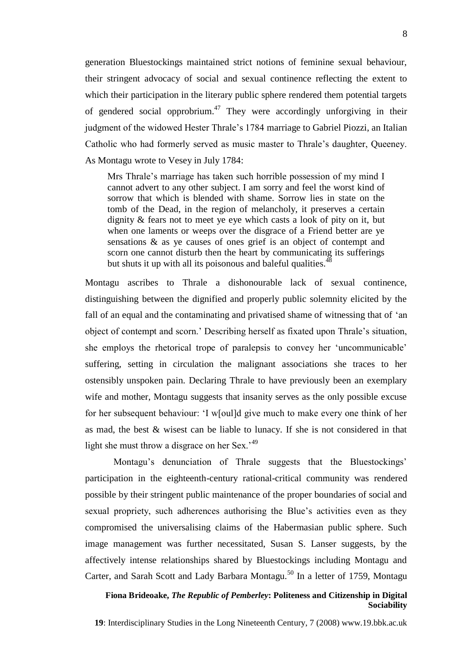generation Bluestockings maintained strict notions of feminine sexual behaviour, their stringent advocacy of social and sexual continence reflecting the extent to which their participation in the literary public sphere rendered them potential targets of gendered social opprobrium.<sup>47</sup> They were accordingly unforgiving in their judgment of the widowed Hester Thrale's 1784 marriage to Gabriel Piozzi, an Italian Catholic who had formerly served as music master to Thrale"s daughter, Queeney. As Montagu wrote to Vesey in July 1784:

Mrs Thrale's marriage has taken such horrible possession of my mind I cannot advert to any other subject. I am sorry and feel the worst kind of sorrow that which is blended with shame. Sorrow lies in state on the tomb of the Dead, in the region of melancholy, it preserves a certain dignity & fears not to meet ye eye which casts a look of pity on it, but when one laments or weeps over the disgrace of a Friend better are ye sensations & as ye causes of ones grief is an object of contempt and scorn one cannot disturb then the heart by communicating its sufferings but shuts it up with all its poisonous and baleful qualities. $48$ 

Montagu ascribes to Thrale a dishonourable lack of sexual continence, distinguishing between the dignified and properly public solemnity elicited by the fall of an equal and the contaminating and privatised shame of witnessing that of "an object of contempt and scorn." Describing herself as fixated upon Thrale"s situation, she employs the rhetorical trope of paralepsis to convey her "uncommunicable" suffering, setting in circulation the malignant associations she traces to her ostensibly unspoken pain. Declaring Thrale to have previously been an exemplary wife and mother, Montagu suggests that insanity serves as the only possible excuse for her subsequent behaviour: "I w[oul]d give much to make every one think of her as mad, the best & wisest can be liable to lunacy. If she is not considered in that light she must throw a disgrace on her Sex.<sup> $49$ </sup>

Montagu's denunciation of Thrale suggests that the Bluestockings' participation in the eighteenth-century rational-critical community was rendered possible by their stringent public maintenance of the proper boundaries of social and sexual propriety, such adherences authorising the Blue"s activities even as they compromised the universalising claims of the Habermasian public sphere. Such image management was further necessitated, Susan S. Lanser suggests, by the affectively intense relationships shared by Bluestockings including Montagu and Carter, and Sarah Scott and Lady Barbara Montagu.<sup>50</sup> In a letter of 1759, Montagu

## **Fiona Brideoake,** *The Republic of Pemberley***: Politeness and Citizenship in Digital Sociability**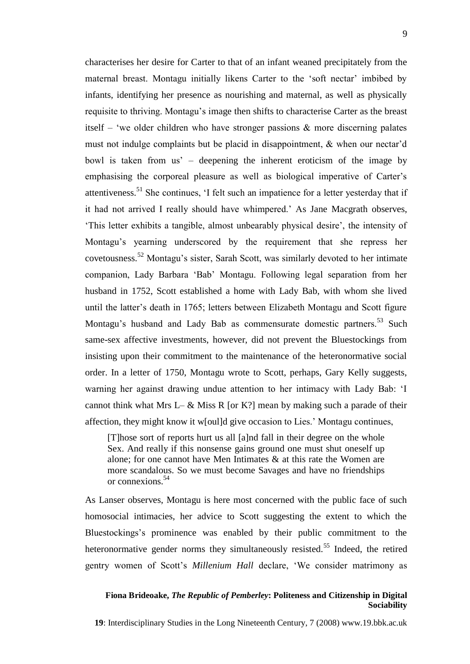characterises her desire for Carter to that of an infant weaned precipitately from the maternal breast. Montagu initially likens Carter to the 'soft nectar' imbibed by infants, identifying her presence as nourishing and maternal, as well as physically requisite to thriving. Montagu"s image then shifts to characterise Carter as the breast itself – 'we older children who have stronger passions  $\&$  more discerning palates must not indulge complaints but be placid in disappointment, & when our nectar"d bowl is taken from us" – deepening the inherent eroticism of the image by emphasising the corporeal pleasure as well as biological imperative of Carter's attentiveness.<sup>51</sup> She continues, "I felt such an impatience for a letter yesterday that if it had not arrived I really should have whimpered." As Jane Macgrath observes, "This letter exhibits a tangible, almost unbearably physical desire", the intensity of Montagu"s yearning underscored by the requirement that she repress her covetousness.<sup>52</sup> Montagu"s sister, Sarah Scott, was similarly devoted to her intimate companion, Lady Barbara "Bab" Montagu. Following legal separation from her husband in 1752, Scott established a home with Lady Bab, with whom she lived until the latter"s death in 1765; letters between Elizabeth Montagu and Scott figure Montagu's husband and Lady Bab as commensurate domestic partners.<sup>53</sup> Such same-sex affective investments, however, did not prevent the Bluestockings from insisting upon their commitment to the maintenance of the heteronormative social order. In a letter of 1750, Montagu wrote to Scott, perhaps, Gary Kelly suggests, warning her against drawing undue attention to her intimacy with Lady Bab: "I cannot think what Mrs L–  $\&$  Miss R [or K?] mean by making such a parade of their affection, they might know it w[oul]d give occasion to Lies." Montagu continues,

[T]hose sort of reports hurt us all [a]nd fall in their degree on the whole Sex. And really if this nonsense gains ground one must shut oneself up alone; for one cannot have Men Intimates & at this rate the Women are more scandalous. So we must become Savages and have no friendships or connexions.<sup>54</sup>

As Lanser observes, Montagu is here most concerned with the public face of such homosocial intimacies, her advice to Scott suggesting the extent to which the Bluestockings"s prominence was enabled by their public commitment to the heteronormative gender norms they simultaneously resisted.<sup>55</sup> Indeed, the retired gentry women of Scott"s *Millenium Hall* declare, "We consider matrimony as

## **Fiona Brideoake,** *The Republic of Pemberley***: Politeness and Citizenship in Digital Sociability**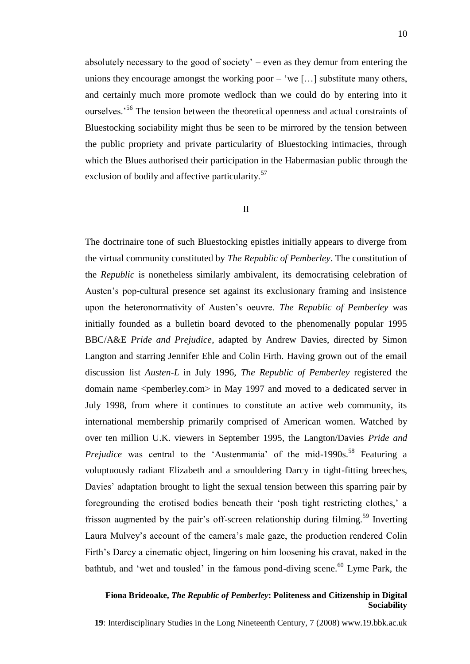absolutely necessary to the good of society" – even as they demur from entering the unions they encourage amongst the working poor  $-$  'we [...] substitute many others, and certainly much more promote wedlock than we could do by entering into it ourselves.<sup>56</sup> The tension between the theoretical openness and actual constraints of Bluestocking sociability might thus be seen to be mirrored by the tension between the public propriety and private particularity of Bluestocking intimacies, through which the Blues authorised their participation in the Habermasian public through the exclusion of bodily and affective particularity.<sup>57</sup>

#### II

The doctrinaire tone of such Bluestocking epistles initially appears to diverge from the virtual community constituted by *The Republic of Pemberley*. The constitution of the *Republic* is nonetheless similarly ambivalent, its democratising celebration of Austen"s pop-cultural presence set against its exclusionary framing and insistence upon the heteronormativity of Austen"s oeuvre. *The Republic of Pemberley* was initially founded as a bulletin board devoted to the phenomenally popular 1995 BBC/A&E *Pride and Prejudice*, adapted by Andrew Davies, directed by Simon Langton and starring Jennifer Ehle and Colin Firth. Having grown out of the email discussion list *Austen-L* in July 1996, *The Republic of Pemberley* registered the domain name <pemberley.com> in May 1997 and moved to a dedicated server in July 1998, from where it continues to constitute an active web community, its international membership primarily comprised of American women. Watched by over ten million U.K. viewers in September 1995, the Langton/Davies *Pride and Prejudice* was central to the 'Austenmania' of the mid-1990s.<sup>58</sup> Featuring a voluptuously radiant Elizabeth and a smouldering Darcy in tight-fitting breeches, Davies' adaptation brought to light the sexual tension between this sparring pair by foregrounding the erotised bodies beneath their "posh tight restricting clothes," a frisson augmented by the pair's off-screen relationship during filming.<sup>59</sup> Inverting Laura Mulvey"s account of the camera"s male gaze, the production rendered Colin Firth"s Darcy a cinematic object, lingering on him loosening his cravat, naked in the bathtub, and 'wet and tousled' in the famous pond-diving scene.<sup>60</sup> Lyme Park, the

#### **Fiona Brideoake,** *The Republic of Pemberley***: Politeness and Citizenship in Digital Sociability**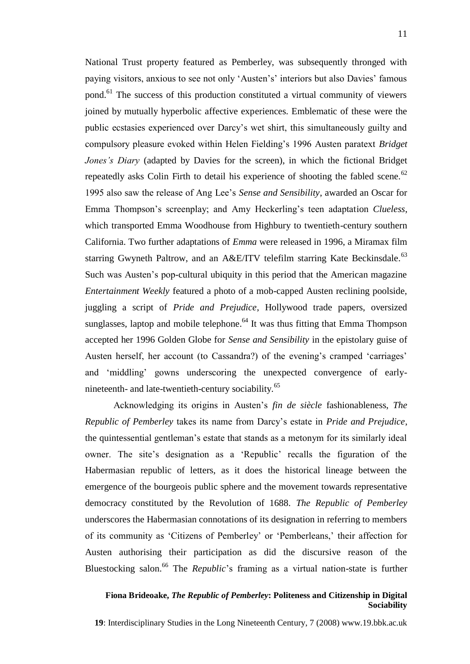National Trust property featured as Pemberley, was subsequently thronged with paying visitors, anxious to see not only "Austen"s" interiors but also Davies" famous pond.<sup>61</sup> The success of this production constituted a virtual community of viewers joined by mutually hyperbolic affective experiences. Emblematic of these were the public ecstasies experienced over Darcy"s wet shirt, this simultaneously guilty and compulsory pleasure evoked within Helen Fielding"s 1996 Austen paratext *Bridget Jones's Diary* (adapted by Davies for the screen), in which the fictional Bridget repeatedly asks Colin Firth to detail his experience of shooting the fabled scene.<sup>62</sup> 1995 also saw the release of Ang Lee"s *Sense and Sensibility*, awarded an Oscar for Emma Thompson's screenplay; and Amy Heckerling's teen adaptation *Clueless*, which transported Emma Woodhouse from Highbury to twentieth-century southern California. Two further adaptations of *Emma* were released in 1996, a Miramax film starring Gwyneth Paltrow, and an A&E/ITV telefilm starring Kate Beckinsdale.<sup>63</sup> Such was Austen's pop-cultural ubiquity in this period that the American magazine *Entertainment Weekly* featured a photo of a mob-capped Austen reclining poolside, juggling a script of *Pride and Prejudice*, Hollywood trade papers, oversized sunglasses, laptop and mobile telephone.<sup>64</sup> It was thus fitting that Emma Thompson accepted her 1996 Golden Globe for *Sense and Sensibility* in the epistolary guise of Austen herself, her account (to Cassandra?) of the evening's cramped 'carriages' and "middling" gowns underscoring the unexpected convergence of earlynineteenth- and late-twentieth-century sociability.<sup>65</sup>

Acknowledging its origins in Austen"s *fin de siècle* fashionableness, *The Republic of Pemberley* takes its name from Darcy"s estate in *Pride and Prejudice*, the quintessential gentleman"s estate that stands as a metonym for its similarly ideal owner. The site"s designation as a "Republic" recalls the figuration of the Habermasian republic of letters, as it does the historical lineage between the emergence of the bourgeois public sphere and the movement towards representative democracy constituted by the Revolution of 1688. *The Republic of Pemberley* underscores the Habermasian connotations of its designation in referring to members of its community as "Citizens of Pemberley" or "Pemberleans," their affection for Austen authorising their participation as did the discursive reason of the Bluestocking salon.<sup>66</sup> The *Republic*'s framing as a virtual nation-state is further

#### **Fiona Brideoake,** *The Republic of Pemberley***: Politeness and Citizenship in Digital Sociability**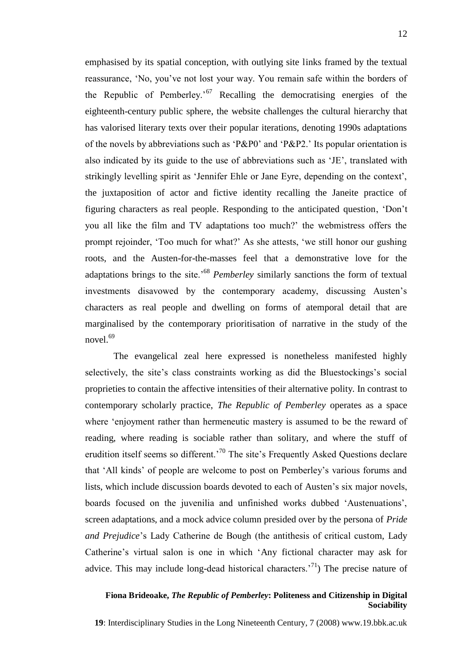emphasised by its spatial conception, with outlying site links framed by the textual reassurance, "No, you"ve not lost your way. You remain safe within the borders of the Republic of Pemberley.<sup> $67$ </sup> Recalling the democratising energies of the eighteenth-century public sphere, the website challenges the cultural hierarchy that has valorised literary texts over their popular iterations, denoting 1990s adaptations of the novels by abbreviations such as "P&P0" and "P&P2." Its popular orientation is also indicated by its guide to the use of abbreviations such as "JE", translated with strikingly levelling spirit as "Jennifer Ehle or Jane Eyre, depending on the context", the juxtaposition of actor and fictive identity recalling the Janeite practice of figuring characters as real people. Responding to the anticipated question, "Don"t you all like the film and TV adaptations too much?" the webmistress offers the prompt rejoinder, "Too much for what?" As she attests, "we still honor our gushing roots, and the Austen-for-the-masses feel that a demonstrative love for the adaptations brings to the site."<sup>68</sup> *Pemberley* similarly sanctions the form of textual investments disavowed by the contemporary academy, discussing Austen"s characters as real people and dwelling on forms of atemporal detail that are marginalised by the contemporary prioritisation of narrative in the study of the novel.<sup>69</sup>

The evangelical zeal here expressed is nonetheless manifested highly selectively, the site's class constraints working as did the Bluestockings's social proprieties to contain the affective intensities of their alternative polity. In contrast to contemporary scholarly practice, *The Republic of Pemberley* operates as a space where "enjoyment rather than hermeneutic mastery is assumed to be the reward of reading, where reading is sociable rather than solitary, and where the stuff of erudition itself seems so different.<sup>70</sup> The site's Frequently Asked Ouestions declare that "All kinds" of people are welcome to post on Pemberley"s various forums and lists, which include discussion boards devoted to each of Austen"s six major novels, boards focused on the juvenilia and unfinished works dubbed "Austenuations", screen adaptations, and a mock advice column presided over by the persona of *Pride and Prejudice*"s Lady Catherine de Bough (the antithesis of critical custom, Lady Catherine's virtual salon is one in which 'Any fictional character may ask for advice. This may include long-dead historical characters.<sup>71</sup>) The precise nature of

#### **Fiona Brideoake,** *The Republic of Pemberley***: Politeness and Citizenship in Digital Sociability**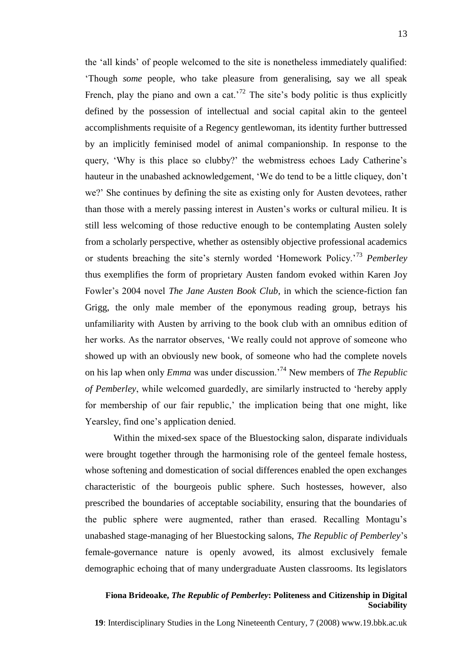the "all kinds" of people welcomed to the site is nonetheless immediately qualified: "Though *some* people, who take pleasure from generalising, say we all speak French, play the piano and own a cat.<sup>72</sup> The site's body politic is thus explicitly defined by the possession of intellectual and social capital akin to the genteel accomplishments requisite of a Regency gentlewoman, its identity further buttressed by an implicitly feminised model of animal companionship. In response to the query, "Why is this place so clubby?" the webmistress echoes Lady Catherine"s hauteur in the unabashed acknowledgement, "We do tend to be a little cliquey, don"t we?" She continues by defining the site as existing only for Austen devotees, rather than those with a merely passing interest in Austen"s works or cultural milieu. It is still less welcoming of those reductive enough to be contemplating Austen solely from a scholarly perspective, whether as ostensibly objective professional academics or students breaching the site"s sternly worded "Homework Policy."<sup>73</sup> *Pemberley* thus exemplifies the form of proprietary Austen fandom evoked within Karen Joy Fowler"s 2004 novel *The Jane Austen Book Club*, in which the science-fiction fan Grigg, the only male member of the eponymous reading group, betrays his unfamiliarity with Austen by arriving to the book club with an omnibus edition of her works. As the narrator observes, "We really could not approve of someone who showed up with an obviously new book, of someone who had the complete novels on his lap when only *Emma* was under discussion."<sup>74</sup> New members of *The Republic of Pemberley*, while welcomed guardedly, are similarly instructed to "hereby apply for membership of our fair republic,' the implication being that one might, like Yearsley, find one"s application denied.

Within the mixed-sex space of the Bluestocking salon, disparate individuals were brought together through the harmonising role of the genteel female hostess, whose softening and domestication of social differences enabled the open exchanges characteristic of the bourgeois public sphere. Such hostesses, however, also prescribed the boundaries of acceptable sociability, ensuring that the boundaries of the public sphere were augmented, rather than erased. Recalling Montagu"s unabashed stage-managing of her Bluestocking salons, *The Republic of Pemberley*"s female-governance nature is openly avowed, its almost exclusively female demographic echoing that of many undergraduate Austen classrooms. Its legislators

#### **Fiona Brideoake,** *The Republic of Pemberley***: Politeness and Citizenship in Digital Sociability**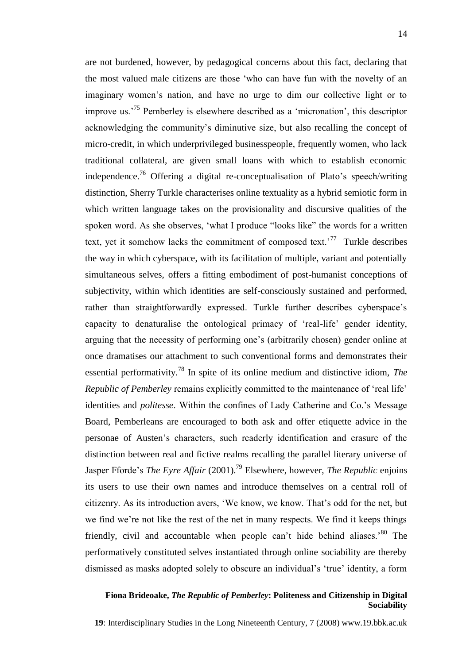are not burdened, however, by pedagogical concerns about this fact, declaring that the most valued male citizens are those "who can have fun with the novelty of an imaginary women"s nation, and have no urge to dim our collective light or to improve us.<sup>75</sup> Pemberley is elsewhere described as a 'micronation', this descriptor acknowledging the community"s diminutive size, but also recalling the concept of micro-credit, in which underprivileged businesspeople, frequently women, who lack traditional collateral, are given small loans with which to establish economic independence.<sup>76</sup> Offering a digital re-conceptualisation of Plato's speech/writing distinction, Sherry Turkle characterises online textuality as a hybrid semiotic form in which written language takes on the provisionality and discursive qualities of the spoken word. As she observes, "what I produce "looks like" the words for a written text, yet it somehow lacks the commitment of composed text.<sup> $77$ </sup> Turkle describes the way in which cyberspace, with its facilitation of multiple, variant and potentially simultaneous selves, offers a fitting embodiment of post-humanist conceptions of subjectivity, within which identities are self-consciously sustained and performed, rather than straightforwardly expressed. Turkle further describes cyberspace"s capacity to denaturalise the ontological primacy of "real-life" gender identity, arguing that the necessity of performing one"s (arbitrarily chosen) gender online at once dramatises our attachment to such conventional forms and demonstrates their essential performativity.<sup>78</sup> In spite of its online medium and distinctive idiom, *The Republic of Pemberley* remains explicitly committed to the maintenance of 'real life' identities and *politesse*. Within the confines of Lady Catherine and Co."s Message Board, Pemberleans are encouraged to both ask and offer etiquette advice in the personae of Austen"s characters, such readerly identification and erasure of the distinction between real and fictive realms recalling the parallel literary universe of Jasper Fforde"s *The Eyre Affair* (2001).<sup>79</sup> Elsewhere, however, *The Republic* enjoins its users to use their own names and introduce themselves on a central roll of citizenry. As its introduction avers, "We know, we know. That"s odd for the net, but we find we"re not like the rest of the net in many respects. We find it keeps things friendly, civil and accountable when people can't hide behind aliases.<sup>80</sup> The performatively constituted selves instantiated through online sociability are thereby dismissed as masks adopted solely to obscure an individual"s "true" identity, a form

#### **Fiona Brideoake,** *The Republic of Pemberley***: Politeness and Citizenship in Digital Sociability**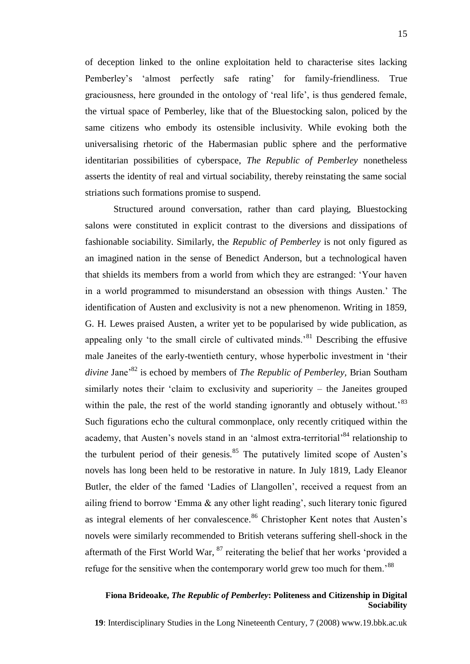of deception linked to the online exploitation held to characterise sites lacking Pemberley's 'almost perfectly safe rating' for family-friendliness. True graciousness, here grounded in the ontology of "real life", is thus gendered female, the virtual space of Pemberley, like that of the Bluestocking salon, policed by the same citizens who embody its ostensible inclusivity. While evoking both the universalising rhetoric of the Habermasian public sphere and the performative identitarian possibilities of cyberspace, *The Republic of Pemberley* nonetheless asserts the identity of real and virtual sociability, thereby reinstating the same social striations such formations promise to suspend.

Structured around conversation, rather than card playing, Bluestocking salons were constituted in explicit contrast to the diversions and dissipations of fashionable sociability. Similarly, the *Republic of Pemberley* is not only figured as an imagined nation in the sense of Benedict Anderson, but a technological haven that shields its members from a world from which they are estranged: "Your haven in a world programmed to misunderstand an obsession with things Austen." The identification of Austen and exclusivity is not a new phenomenon. Writing in 1859, G. H. Lewes praised Austen, a writer yet to be popularised by wide publication, as appealing only "to the small circle of cultivated minds."<sup>81</sup> Describing the effusive male Janeites of the early-twentieth century, whose hyperbolic investment in "their *divine* Jane<sup>82</sup> is echoed by members of *The Republic of Pemberley*, Brian Southam similarly notes their "claim to exclusivity and superiority – the Janeites grouped within the pale, the rest of the world standing ignorantly and obtusely without.<sup>83</sup> Such figurations echo the cultural commonplace, only recently critiqued within the academy, that Austen's novels stand in an 'almost extra-territorial'<sup>84</sup> relationship to the turbulent period of their genesis. $85$  The putatively limited scope of Austen's novels has long been held to be restorative in nature. In July 1819, Lady Eleanor Butler, the elder of the famed "Ladies of Llangollen", received a request from an ailing friend to borrow 'Emma  $\&$  any other light reading', such literary tonic figured as integral elements of her convalescence.<sup>86</sup> Christopher Kent notes that Austen's novels were similarly recommended to British veterans suffering shell-shock in the aftermath of the First World War, <sup>87</sup> reiterating the belief that her works "provided a refuge for the sensitive when the contemporary world grew too much for them.<sup>88</sup>

# **Fiona Brideoake,** *The Republic of Pemberley***: Politeness and Citizenship in Digital Sociability**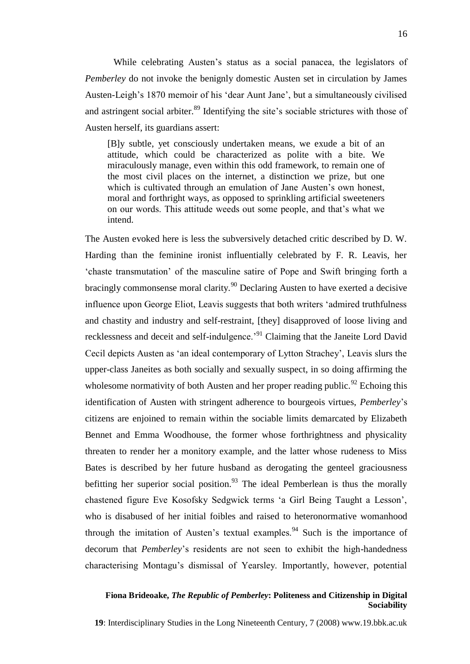While celebrating Austen's status as a social panacea, the legislators of *Pemberley* do not invoke the benignly domestic Austen set in circulation by James Austen-Leigh"s 1870 memoir of his "dear Aunt Jane", but a simultaneously civilised and astringent social arbiter.<sup>89</sup> Identifying the site's sociable strictures with those of Austen herself, its guardians assert:

[B]y subtle, yet consciously undertaken means, we exude a bit of an attitude, which could be characterized as polite with a bite. We miraculously manage, even within this odd framework, to remain one of the most civil places on the internet, a distinction we prize, but one which is cultivated through an emulation of Jane Austen's own honest, moral and forthright ways, as opposed to sprinkling artificial sweeteners on our words. This attitude weeds out some people, and that"s what we intend.

The Austen evoked here is less the subversively detached critic described by D. W. Harding than the feminine ironist influentially celebrated by F. R. Leavis, her "chaste transmutation" of the masculine satire of Pope and Swift bringing forth a bracingly commonsense moral clarity.<sup>90</sup> Declaring Austen to have exerted a decisive influence upon George Eliot, Leavis suggests that both writers "admired truthfulness and chastity and industry and self-restraint, [they] disapproved of loose living and recklessness and deceit and self-indulgence.<sup>91</sup> Claiming that the Janeite Lord David Cecil depicts Austen as "an ideal contemporary of Lytton Strachey", Leavis slurs the upper-class Janeites as both socially and sexually suspect, in so doing affirming the wholesome normativity of both Austen and her proper reading public.<sup>92</sup> Echoing this identification of Austen with stringent adherence to bourgeois virtues, *Pemberley*"s citizens are enjoined to remain within the sociable limits demarcated by Elizabeth Bennet and Emma Woodhouse, the former whose forthrightness and physicality threaten to render her a monitory example, and the latter whose rudeness to Miss Bates is described by her future husband as derogating the genteel graciousness befitting her superior social position.<sup>93</sup> The ideal Pemberlean is thus the morally chastened figure Eve Kosofsky Sedgwick terms "a Girl Being Taught a Lesson", who is disabused of her initial foibles and raised to heteronormative womanhood through the imitation of Austen's textual examples.<sup>94</sup> Such is the importance of decorum that *Pemberley*"s residents are not seen to exhibit the high-handedness characterising Montagu"s dismissal of Yearsley. Importantly, however, potential

#### **Fiona Brideoake,** *The Republic of Pemberley***: Politeness and Citizenship in Digital Sociability**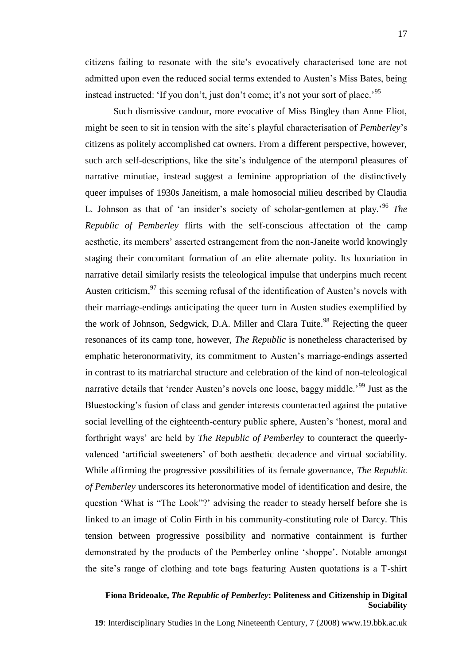Such dismissive candour, more evocative of Miss Bingley than Anne Eliot, might be seen to sit in tension with the site"s playful characterisation of *Pemberley*"s citizens as politely accomplished cat owners. From a different perspective, however, such arch self-descriptions, like the site"s indulgence of the atemporal pleasures of narrative minutiae, instead suggest a feminine appropriation of the distinctively queer impulses of 1930s Janeitism, a male homosocial milieu described by Claudia L. Johnson as that of 'an insider's society of scholar-gentlemen at play.<sup>96</sup> *The Republic of Pemberley* flirts with the self-conscious affectation of the camp aesthetic, its members' asserted estrangement from the non-Janeite world knowingly staging their concomitant formation of an elite alternate polity. Its luxuriation in narrative detail similarly resists the teleological impulse that underpins much recent Austen criticism,  $97$  this seeming refusal of the identification of Austen's novels with their marriage-endings anticipating the queer turn in Austen studies exemplified by the work of Johnson, Sedgwick, D.A. Miller and Clara Tuite.<sup>98</sup> Rejecting the queer resonances of its camp tone, however, *The Republic* is nonetheless characterised by emphatic heteronormativity, its commitment to Austen"s marriage-endings asserted in contrast to its matriarchal structure and celebration of the kind of non-teleological narrative details that 'render Austen's novels one loose, baggy middle.<sup>99</sup> Just as the Bluestocking's fusion of class and gender interests counteracted against the putative social levelling of the eighteenth-century public sphere, Austen's 'honest, moral and forthright ways" are held by *The Republic of Pemberley* to counteract the queerlyvalenced "artificial sweeteners" of both aesthetic decadence and virtual sociability. While affirming the progressive possibilities of its female governance, *The Republic of Pemberley* underscores its heteronormative model of identification and desire, the question "What is "The Look"?" advising the reader to steady herself before she is linked to an image of Colin Firth in his community-constituting role of Darcy. This tension between progressive possibility and normative containment is further demonstrated by the products of the Pemberley online "shoppe". Notable amongst the site"s range of clothing and tote bags featuring Austen quotations is a T-shirt

#### **Fiona Brideoake,** *The Republic of Pemberley***: Politeness and Citizenship in Digital Sociability**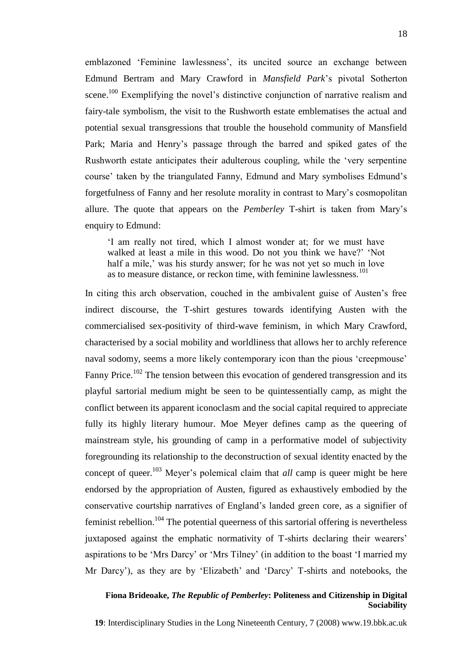emblazoned "Feminine lawlessness", its uncited source an exchange between Edmund Bertram and Mary Crawford in *Mansfield Park*"s pivotal Sotherton scene.<sup>100</sup> Exemplifying the novel's distinctive conjunction of narrative realism and fairy-tale symbolism, the visit to the Rushworth estate emblematises the actual and potential sexual transgressions that trouble the household community of Mansfield Park; Maria and Henry"s passage through the barred and spiked gates of the Rushworth estate anticipates their adulterous coupling, while the "very serpentine course" taken by the triangulated Fanny, Edmund and Mary symbolises Edmund"s forgetfulness of Fanny and her resolute morality in contrast to Mary"s cosmopolitan allure. The quote that appears on the *Pemberley* T-shirt is taken from Mary"s enquiry to Edmund:

"I am really not tired, which I almost wonder at; for we must have walked at least a mile in this wood. Do not you think we have?" "Not half a mile,' was his sturdy answer; for he was not yet so much in love as to measure distance, or reckon time, with feminine lawlessness.<sup>101</sup>

In citing this arch observation, couched in the ambivalent guise of Austen"s free indirect discourse, the T-shirt gestures towards identifying Austen with the commercialised sex-positivity of third-wave feminism, in which Mary Crawford, characterised by a social mobility and worldliness that allows her to archly reference naval sodomy, seems a more likely contemporary icon than the pious "creepmouse" Fanny Price.<sup>102</sup> The tension between this evocation of gendered transgression and its playful sartorial medium might be seen to be quintessentially camp, as might the conflict between its apparent iconoclasm and the social capital required to appreciate fully its highly literary humour. Moe Meyer defines camp as the queering of mainstream style, his grounding of camp in a performative model of subjectivity foregrounding its relationship to the deconstruction of sexual identity enacted by the concept of queer.<sup>103</sup> Meyer's polemical claim that *all* camp is queer might be here endorsed by the appropriation of Austen, figured as exhaustively embodied by the conservative courtship narratives of England"s landed green core, as a signifier of feminist rebellion.<sup>104</sup> The potential queerness of this sartorial offering is nevertheless juxtaposed against the emphatic normativity of T-shirts declaring their wearers' aspirations to be "Mrs Darcy" or "Mrs Tilney" (in addition to the boast "I married my Mr Darcy"), as they are by "Elizabeth" and "Darcy" T-shirts and notebooks, the

#### **Fiona Brideoake,** *The Republic of Pemberley***: Politeness and Citizenship in Digital Sociability**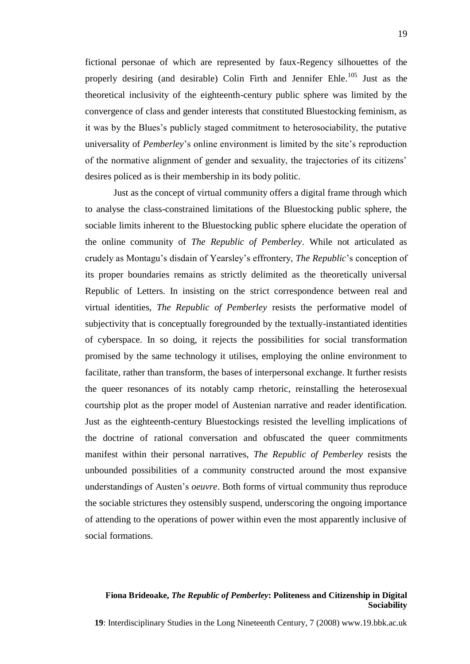fictional personae of which are represented by faux-Regency silhouettes of the properly desiring (and desirable) Colin Firth and Jennifer Ehle.<sup>105</sup> Just as the theoretical inclusivity of the eighteenth-century public sphere was limited by the convergence of class and gender interests that constituted Bluestocking feminism, as it was by the Blues"s publicly staged commitment to heterosociability, the putative universality of *Pemberley*"s online environment is limited by the site"s reproduction of the normative alignment of gender and sexuality, the trajectories of its citizens" desires policed as is their membership in its body politic.

Just as the concept of virtual community offers a digital frame through which to analyse the class-constrained limitations of the Bluestocking public sphere, the sociable limits inherent to the Bluestocking public sphere elucidate the operation of the online community of *The Republic of Pemberley*. While not articulated as crudely as Montagu"s disdain of Yearsley"s effrontery, *The Republic*"s conception of its proper boundaries remains as strictly delimited as the theoretically universal Republic of Letters. In insisting on the strict correspondence between real and virtual identities, *The Republic of Pemberley* resists the performative model of subjectivity that is conceptually foregrounded by the textually-instantiated identities of cyberspace. In so doing, it rejects the possibilities for social transformation promised by the same technology it utilises, employing the online environment to facilitate, rather than transform, the bases of interpersonal exchange. It further resists the queer resonances of its notably camp rhetoric, reinstalling the heterosexual courtship plot as the proper model of Austenian narrative and reader identification. Just as the eighteenth-century Bluestockings resisted the levelling implications of the doctrine of rational conversation and obfuscated the queer commitments manifest within their personal narratives, *The Republic of Pemberley* resists the unbounded possibilities of a community constructed around the most expansive understandings of Austen"s *oeuvre*. Both forms of virtual community thus reproduce the sociable strictures they ostensibly suspend, underscoring the ongoing importance of attending to the operations of power within even the most apparently inclusive of social formations.

# **Fiona Brideoake,** *The Republic of Pemberley***: Politeness and Citizenship in Digital Sociability**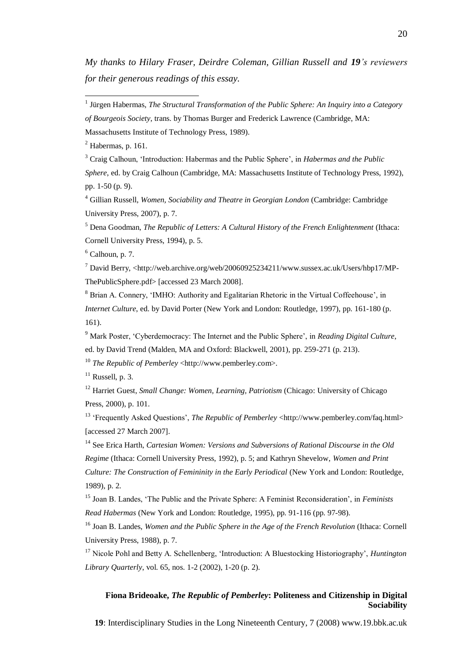*My thanks to Hilary Fraser, Deirdre Coleman, Gillian Russell and 19's reviewers for their generous readings of this essay.* 

 $<sup>2</sup>$  Habermas, p. 161.</sup>

 $\overline{a}$ 

<sup>3</sup> Craig Calhoun, "Introduction: Habermas and the Public Sphere", in *Habermas and the Public Sphere*, ed. by Craig Calhoun (Cambridge, MA: Massachusetts Institute of Technology Press, 1992), pp. 1-50 (p. 9).

<sup>4</sup> Gillian Russell, *Women, Sociability and Theatre in Georgian London* (Cambridge: Cambridge University Press, 2007), p. 7.

<sup>5</sup> Dena Goodman, *The Republic of Letters: A Cultural History of the French Enlightenment* (Ithaca: Cornell University Press, 1994), p. 5.

 $6$  Calhoun, p. 7.

<sup>7</sup> David Berry, <http://web.archive.org/web/20060925234211/www.sussex.ac.uk/Users/hbp17/MP-ThePublicSphere.pdf> [accessed 23 March 2008].

<sup>8</sup> Brian A. Connery, 'IMHO: Authority and Egalitarian Rhetoric in the Virtual Coffeehouse', in *Internet Culture*, ed. by David Porter (New York and London: Routledge, 1997), pp. 161-180 (p. 161).

<sup>9</sup> Mark Poster, "Cyberdemocracy: The Internet and the Public Sphere", in *Reading Digital Culture*, ed. by David Trend (Malden, MA and Oxford: Blackwell, 2001), pp. 259-271 (p. 213).

<sup>10</sup> *The Republic of Pemberley* <http://www.pemberley.com>.

 $11$  Russell, p. 3.

<sup>12</sup> Harriet Guest, *Small Change: Women, Learning, Patriotism* (Chicago: University of Chicago Press, 2000), p. 101.

<sup>13</sup> 'Frequently Asked Questions', *The Republic of Pemberley* <http://www.pemberley.com/faq.html> [accessed 27 March 2007].

<sup>14</sup> See Erica Harth, *Cartesian Women: Versions and Subversions of Rational Discourse in the Old Regime* (Ithaca: Cornell University Press, 1992), p. 5; and Kathryn Shevelow, *Women and Print Culture: The Construction of Femininity in the Early Periodical* (New York and London: Routledge, 1989), p. 2.

<sup>15</sup> Joan B. Landes, "The Public and the Private Sphere: A Feminist Reconsideration", in *Feminists Read Habermas* (New York and London: Routledge, 1995), pp. 91-116 (pp. 97-98).

<sup>16</sup> Joan B. Landes, *Women and the Public Sphere in the Age of the French Revolution* (Ithaca: Cornell University Press, 1988), p. 7.

<sup>17</sup> Nicole Pohl and Betty A. Schellenberg, "Introduction: A Bluestocking Historiography", *Huntington Library Quarterly*, vol. 65, nos. 1-2 (2002), 1-20 (p. 2).

# **Fiona Brideoake,** *The Republic of Pemberley***: Politeness and Citizenship in Digital Sociability**

<sup>&</sup>lt;sup>1</sup> Jürgen Habermas, *The Structural Transformation of the Public Sphere: An Inquiry into a Category* 

*of Bourgeois Society*, trans. by Thomas Burger and Frederick Lawrence (Cambridge, MA:

Massachusetts Institute of Technology Press, 1989).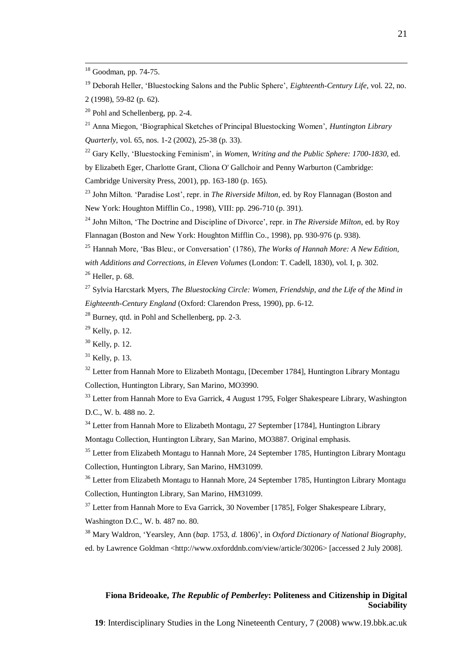$\overline{a}$ 

<sup>19</sup> Deborah Heller, "Bluestocking Salons and the Public Sphere", *Eighteenth-Century Life*, vol. 22, no. 2 (1998), 59-82 (p. 62).

<sup>20</sup> Pohl and Schellenberg, pp. 2-4.

<sup>21</sup> Anna Miegon, "Biographical Sketches of Principal Bluestocking Women", *Huntington Library Quarterly*, vol. 65, nos. 1-2 (2002), 25-38 (p. 33).

<sup>22</sup> Gary Kelly, "Bluestocking Feminism", in *Women, Writing and the Public Sphere: 1700-1830*, ed. by Elizabeth Eger, Charlotte Grant, Cliona O' Gallchoir and Penny Warburton (Cambridge: Cambridge University Press, 2001), pp. 163-180 (p. 165).

<sup>23</sup> John Milton. "Paradise Lost", repr. in *The Riverside Milton*, ed. by Roy Flannagan (Boston and New York: Houghton Mifflin Co., 1998), VIII: pp. 296-710 (p. 391).

<sup>24</sup> John Milton, "The Doctrine and Discipline of Divorce", repr. in *The Riverside Milton*, ed. by Roy Flannagan (Boston and New York: Houghton Mifflin Co., 1998), pp. 930-976 (p. 938).

<sup>25</sup> Hannah More, "Bas Bleu:, or Conversation" (1786), *The Works of Hannah More: A New Edition, with Additions and Corrections, in Eleven Volumes* (London: T. Cadell, 1830), vol. I, p. 302.

 $26$  Heller, p. 68.

<sup>27</sup> Sylvia Harcstark Myers, *The Bluestocking Circle: Women, Friendship, and the Life of the Mind in Eighteenth-Century England* (Oxford: Clarendon Press, 1990), pp. 6-12.

 $28$  Burney, qtd. in Pohl and Schellenberg, pp. 2-3.

 $29$  Kelly, p. 12.

 $32$  Letter from Hannah More to Elizabeth Montagu, [December 1784], Huntington Library Montagu Collection, Huntington Library, San Marino, MO3990.

<sup>33</sup> Letter from Hannah More to Eva Garrick, 4 August 1795, Folger Shakespeare Library, Washington D.C., W. b. 488 no. 2.

<sup>34</sup> Letter from Hannah More to Elizabeth Montagu, 27 September [1784], Huntington Library

Montagu Collection, Huntington Library, San Marino, MO3887. Original emphasis.

<sup>35</sup> Letter from Elizabeth Montagu to Hannah More, 24 September 1785, Huntington Library Montagu Collection, Huntington Library, San Marino, HM31099.

<sup>36</sup> Letter from Elizabeth Montagu to Hannah More, 24 September 1785, Huntington Library Montagu Collection, Huntington Library, San Marino, HM31099.

 $37$  Letter from Hannah More to Eva Garrick, 30 November [1785], Folger Shakespeare Library, Washington D.C., W. b. 487 no. 80.

<sup>38</sup> Mary Waldron, "Yearsley, Ann (*bap.* 1753, *d.* 1806)", in *Oxford Dictionary of National Biography*, ed. by Lawrence Goldman <http://www.oxforddnb.com/view/article/30206> [accessed 2 July 2008].

#### **Fiona Brideoake,** *The Republic of Pemberley***: Politeness and Citizenship in Digital Sociability**

 $18$  Goodman, pp. 74-75.

 $30$  Kelly, p. 12.

 $31$  Kelly, p. 13.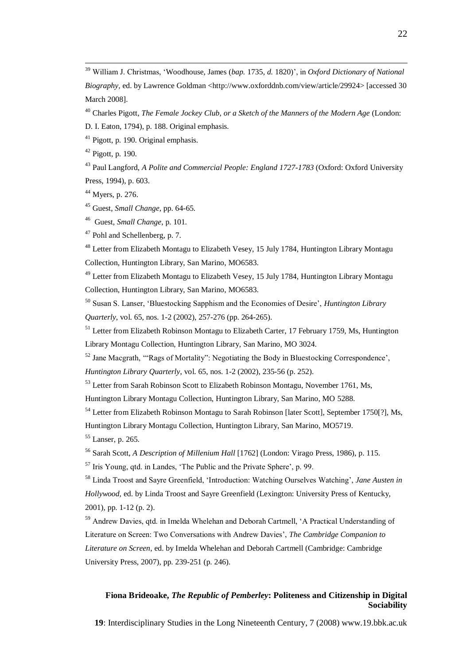<sup>39</sup> William J. Christmas, "Woodhouse, James (*bap.* 1735, *d.* 1820)", in *Oxford Dictionary of National Biography, ed. by Lawrence Goldman <http://www.oxforddnb.com/view/article/29924> [accessed 30]* March 2008].

<sup>40</sup> Charles Pigott, *The Female Jockey Club, or a Sketch of the Manners of the Modern Age* (London:

D. I. Eaton, 1794), p. 188. Original emphasis.

<sup>41</sup> Pigott, p. 190. Original emphasis.

 $42$  Pigott, p. 190.

 $\overline{a}$ 

<sup>43</sup> Paul Langford, *A Polite and Commercial People: England 1727-1783* (Oxford: Oxford University Press, 1994), p. 603.

<sup>44</sup> Myers, p. 276.

<sup>45</sup> Guest, *Small Change,* pp. 64-65.

46 Guest, *Small Change*, p. 101.

<sup>47</sup> Pohl and Schellenberg, p. 7.

<sup>48</sup> Letter from Elizabeth Montagu to Elizabeth Vesey, 15 July 1784, Huntington Library Montagu Collection, Huntington Library, San Marino, MO6583.

<sup>49</sup> Letter from Elizabeth Montagu to Elizabeth Vesey, 15 July 1784, Huntington Library Montagu Collection, Huntington Library, San Marino, MO6583.

<sup>50</sup> Susan S. Lanser, "Bluestocking Sapphism and the Economies of Desire", *Huntington Library Quarterly*, vol. 65, nos. 1-2 (2002), 257-276 (pp. 264-265).

<sup>51</sup> Letter from Elizabeth Robinson Montagu to Elizabeth Carter, 17 February 1759, Ms, Huntington Library Montagu Collection, Huntington Library, San Marino, MO 3024.

<sup>52</sup> Jane Macgrath, ""Rags of Mortality": Negotiating the Body in Bluestocking Correspondence',

*Huntington Library Quarterly*, vol. 65, nos. 1-2 (2002), 235-56 (p. 252).

<sup>53</sup> Letter from Sarah Robinson Scott to Elizabeth Robinson Montagu, November 1761, Ms,

Huntington Library Montagu Collection, Huntington Library, San Marino, MO 5288.

<sup>54</sup> Letter from Elizabeth Robinson Montagu to Sarah Robinson [later Scott], September 1750[?], Ms,

Huntington Library Montagu Collection, Huntington Library, San Marino, MO5719.

<sup>55</sup> Lanser, p. 265.

<sup>56</sup> Sarah Scott, *A Description of Millenium Hall* [1762] (London: Virago Press, 1986), p. 115.

 $57$  Iris Young, qtd. in Landes, 'The Public and the Private Sphere', p. 99.

<sup>58</sup> Linda Troost and Sayre Greenfield, "Introduction: Watching Ourselves Watching", *Jane Austen in Hollywood,* ed. by Linda Troost and Sayre Greenfield (Lexington: University Press of Kentucky, 2001), pp. 1-12 (p. 2).

<sup>59</sup> Andrew Davies, qtd. in Imelda Whelehan and Deborah Cartmell, 'A Practical Understanding of Literature on Screen: Two Conversations with Andrew Davies", *The Cambridge Companion to Literature on Screen*, ed. by Imelda Whelehan and Deborah Cartmell (Cambridge: Cambridge University Press, 2007), pp. 239-251 (p. 246).

## **Fiona Brideoake,** *The Republic of Pemberley***: Politeness and Citizenship in Digital Sociability**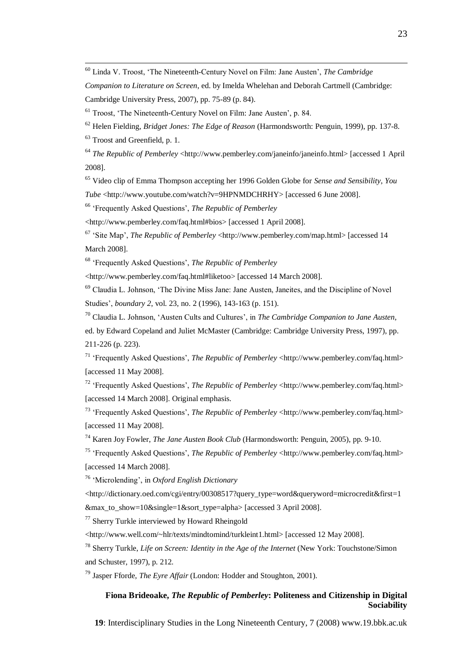<sup>60</sup> Linda V. Troost, "The Nineteenth-Century Novel on Film: Jane Austen", *The Cambridge* 

*Companion to Literature on Screen*, ed. by Imelda Whelehan and Deborah Cartmell (Cambridge: Cambridge University Press, 2007), pp. 75-89 (p. 84).

 $61$  Troost, 'The Nineteenth-Century Novel on Film: Jane Austen', p. 84.

<sup>62</sup> Helen Fielding, *Bridget Jones: The Edge of Reason* (Harmondsworth: Penguin, 1999), pp. 137-8.

<sup>63</sup> Troost and Greenfield, p. 1.

 $\overline{a}$ 

<sup>64</sup> *The Republic of Pemberley* <http://www.pemberley.com/janeinfo/janeinfo.html> [accessed 1 April] 2008].

<sup>65</sup> Video clip of Emma Thompson accepting her 1996 Golden Globe for *Sense and Sensibility*, *You Tube* <http://www.youtube.com/watch?v=9HPNMDCHRHY> [accessed 6 June 2008].

<sup>66</sup> "Frequently Asked Questions", *The Republic of Pemberley* 

<http://www.pemberley.com/faq.html#bios> [accessed 1 April 2008].

<sup>67</sup> "Site Map", *The Republic of Pemberley* <http://www.pemberley.com/map.html> [accessed 14 March 2008].

<sup>68</sup> "Frequently Asked Questions", *The Republic of Pemberley*

<http://www.pemberley.com/faq.html#liketoo> [accessed 14 March 2008].

 $69$  Claudia L. Johnson, 'The Divine Miss Jane: Jane Austen, Janeites, and the Discipline of Novel Studies", *boundary 2*, vol. 23, no. 2 (1996), 143-163 (p. 151).

<sup>70</sup> Claudia L. Johnson, "Austen Cults and Cultures", in *The Cambridge Companion to Jane Austen,*  ed. by Edward Copeland and Juliet McMaster (Cambridge: Cambridge University Press, 1997), pp. 211-226 (p. 223).

<sup>71</sup> "Frequently Asked Questions", *The Republic of Pemberley* <http://www.pemberley.com/faq.html> [accessed 11 May 2008].

<sup>72</sup> "Frequently Asked Questions", *The Republic of Pemberley* <http://www.pemberley.com/faq.html> [accessed 14 March 2008]. Original emphasis.

<sup>73</sup> "Frequently Asked Questions", *The Republic of Pemberley* <http://www.pemberley.com/faq.html> [accessed 11 May 2008].

<sup>74</sup> Karen Joy Fowler, *The Jane Austen Book Club* (Harmondsworth: Penguin, 2005), pp. 9-10.

<sup>75</sup> "Frequently Asked Questions", *The Republic of Pemberley* <http://www.pemberley.com/faq.html> [accessed 14 March 2008].

<sup>76</sup> "Microlending", in *Oxford English Dictionary*

<http://dictionary.oed.com/cgi/entry/00308517?query\_type=word&queryword=microcredit&first=1 &max\_to\_show=10&single=1&sort\_type=alpha> [accessed 3 April 2008].

 $77$  Sherry Turkle interviewed by Howard Rheingold

<http://www.well.com/~hlr/texts/mindtomind/turkleint1.html> [accessed 12 May 2008].

<sup>78</sup> Sherry Turkle, *Life on Screen: Identity in the Age of the Internet* (New York: Touchstone/Simon and Schuster, 1997), p. 212.

<sup>79</sup> Jasper Fforde, *The Eyre Affair* (London: Hodder and Stoughton, 2001).

## **Fiona Brideoake,** *The Republic of Pemberley***: Politeness and Citizenship in Digital Sociability**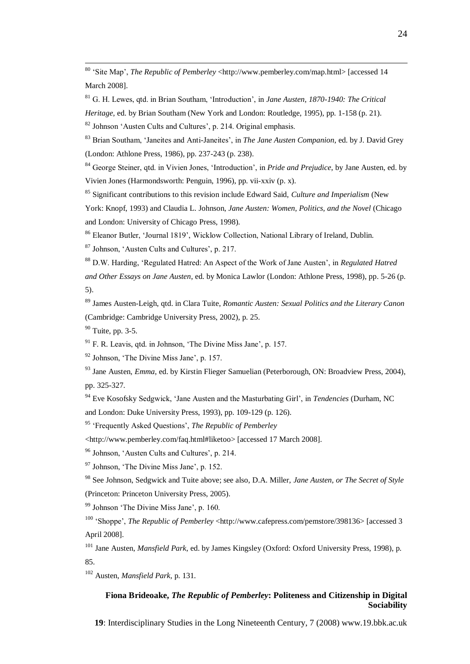<sup>80</sup> 'Site Map', *The Republic of Pemberley* <http://www.pemberley.com/map.html> [accessed 14 March 2008].

<sup>81</sup> G. H. Lewes, qtd. in Brian Southam, "Introduction", in *Jane Austen, 1870-1940: The Critical* 

*Heritage,* ed. by Brian Southam (New York and London: Routledge, 1995), pp. 1-158 (p. 21).

 $82$  Johnson 'Austen Cults and Cultures', p. 214. Original emphasis.

<sup>83</sup> Brian Southam, "Janeites and Anti-Janeites", in *The Jane Austen Companion*, ed. by J. David Grey (London: Athlone Press, 1986), pp. 237-243 (p. 238).

<sup>84</sup> George Steiner, qtd. in Vivien Jones, "Introduction", in *Pride and Prejudice*, by Jane Austen, ed. by Vivien Jones (Harmondsworth: Penguin, 1996), pp. vii-xxiv (p. x).

<sup>85</sup> Significant contributions to this revision include Edward Said, *Culture and Imperialism* (New York: Knopf, 1993) and Claudia L. Johnson, *Jane Austen: Women, Politics, and the Novel* (Chicago and London: University of Chicago Press, 1998).

<sup>86</sup> Eleanor Butler, "Journal 1819", Wicklow Collection, National Library of Ireland, Dublin.

<sup>87</sup> Johnson, 'Austen Cults and Cultures', p. 217.

<sup>88</sup> D.W. Harding, "Regulated Hatred: An Aspect of the Work of Jane Austen", in *Regulated Hatred* 

*and Other Essays on Jane Austen*, ed. by Monica Lawlor (London: Athlone Press, 1998), pp. 5-26 (p. 5).

<sup>89</sup> James Austen-Leigh, qtd. in Clara Tuite, *Romantic Austen: Sexual Politics and the Literary Canon*  (Cambridge: Cambridge University Press, 2002), p. 25.

 $90$  Tuite, pp. 3-5.

 $\overline{a}$ 

 $91$  F. R. Leavis, qtd. in Johnson, 'The Divine Miss Jane', p. 157.

<sup>92</sup> Johnson, "The Divine Miss Jane", p. 157.

<sup>93</sup> Jane Austen, *Emma*, ed. by Kirstin Flieger Samuelian (Peterborough, ON: Broadview Press, 2004), pp. 325-327.

<sup>94</sup> Eve Kosofsky Sedgwick, "Jane Austen and the Masturbating Girl", in *Tendencies* (Durham, NC and London: Duke University Press, 1993), pp. 109-129 (p. 126).

<sup>95</sup> "Frequently Asked Questions", *The Republic of Pemberley*

<http://www.pemberley.com/faq.html#liketoo> [accessed 17 March 2008].

<sup>96</sup> Johnson, 'Austen Cults and Cultures', p. 214.

 $97$  Johnson, 'The Divine Miss Jane', p. 152.

<sup>98</sup> See Johnson, Sedgwick and Tuite above; see also, D.A. Miller, *Jane Austen, or The Secret of Style* (Princeton: Princeton University Press, 2005).

 $99$  Johnson 'The Divine Miss Jane', p. 160.

<sup>100</sup> 'Shoppe', *The Republic of Pemberley* <http://www.cafepress.com/pemstore/398136> [accessed 3] April 2008].

<sup>101</sup> Jane Austen, *Mansfield Park*, ed. by James Kingsley (Oxford: Oxford University Press, 1998), p. 85.

<sup>102</sup> Austen, *Mansfield Park*, p. 131.

# **Fiona Brideoake,** *The Republic of Pemberley***: Politeness and Citizenship in Digital Sociability**